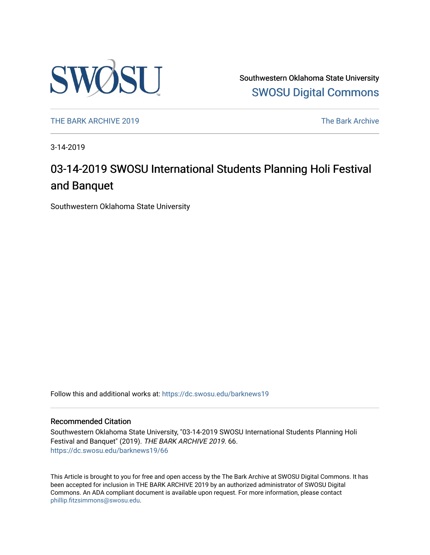

Southwestern Oklahoma State University [SWOSU Digital Commons](https://dc.swosu.edu/) 

[THE BARK ARCHIVE 2019](https://dc.swosu.edu/barknews19) The Bark Archive

3-14-2019

### 03-14-2019 SWOSU International Students Planning Holi Festival and Banquet

Southwestern Oklahoma State University

Follow this and additional works at: [https://dc.swosu.edu/barknews19](https://dc.swosu.edu/barknews19?utm_source=dc.swosu.edu%2Fbarknews19%2F66&utm_medium=PDF&utm_campaign=PDFCoverPages)

#### Recommended Citation

Southwestern Oklahoma State University, "03-14-2019 SWOSU International Students Planning Holi Festival and Banquet" (2019). THE BARK ARCHIVE 2019. 66. [https://dc.swosu.edu/barknews19/66](https://dc.swosu.edu/barknews19/66?utm_source=dc.swosu.edu%2Fbarknews19%2F66&utm_medium=PDF&utm_campaign=PDFCoverPages) 

This Article is brought to you for free and open access by the The Bark Archive at SWOSU Digital Commons. It has been accepted for inclusion in THE BARK ARCHIVE 2019 by an authorized administrator of SWOSU Digital Commons. An ADA compliant document is available upon request. For more information, please contact [phillip.fitzsimmons@swosu.edu](mailto:phillip.fitzsimmons@swosu.edu).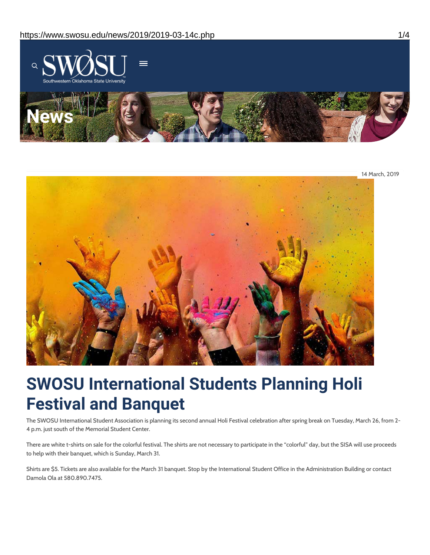

14 March, 2019



# **SWOSU International Students Planning Holi Festival and Banquet**

The SWOSU International Student Association is planning its second annual Holi Festival celebration after spring break on Tuesday, March 26, from 2- 4 p.m. just south of the Memorial Student Center.

There are white t-shirts on sale for the colorful festival. The shirts are not necessary to participate in the "colorful" day, but the SISA will use proceeds to help with their banquet, which is Sunday, March 31.

Shirts are \$5. Tickets are also available for the March 31 banquet. Stop by the International Student Office in the Administration Building or contact Damola Ola at 580.890.7475.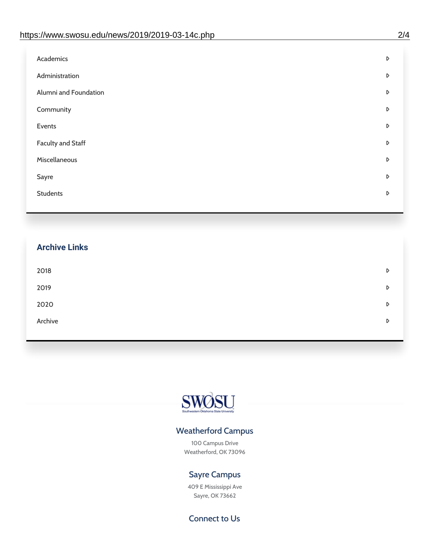| D |
|---|
| D |
| D |
| D |
| D |
| D |
| D |
| D |
| D |
|   |

## **Archive Links**  $2018$  $2019$ [2020](https://www.swosu.edu/news/2020/index.php)  $\bullet$ [Archive](https://dc.swosu.edu/bark/) **Archive Archive Archive Archive Archive** Archive Archive Archive Archive Archive Archive Archive Archive



### Weatherford Campus

100 Campus Drive Weatherford, OK 73096

### Sayre Campus

409 E Mississippi Ave Sayre, OK 73662

Connect to Us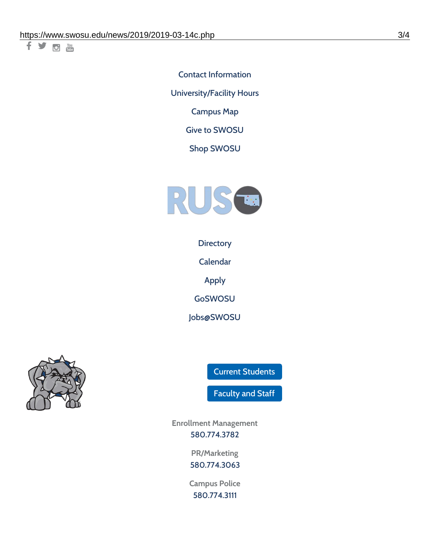千岁回调

Contact [Information](https://www.swosu.edu/about/contact.php) [University/Facility](https://www.swosu.edu/about/operating-hours.php) Hours [Campus](https://map.concept3d.com/?id=768#!ct/10964,10214,10213,10212,10205,10204,10203,10202,10136,10129,10128,0,31226,10130,10201,10641,0) Map

Give to [SWOSU](https://standingfirmly.com/donate)

Shop [SWOSU](https://shopswosu.merchorders.com/)



**[Directory](https://www.swosu.edu/directory/index.php)** 

[Calendar](https://eventpublisher.dudesolutions.com/swosu/)

[Apply](https://www.swosu.edu/admissions/apply-to-swosu.php)

[GoSWOSU](https://qlsso.quicklaunchsso.com/home/1267)

[Jobs@SWOSU](https://swosu.csod.com/ux/ats/careersite/1/home?c=swosu)



Current [Students](https://bulldog.swosu.edu/index.php)

[Faculty](https://bulldog.swosu.edu/faculty-staff/index.php) and Staff

**Enrollment Management** [580.774.3782](tel:5807743782)

> **PR/Marketing** [580.774.3063](tel:5807743063)

**Campus Police** [580.774.3111](tel:5807743111)